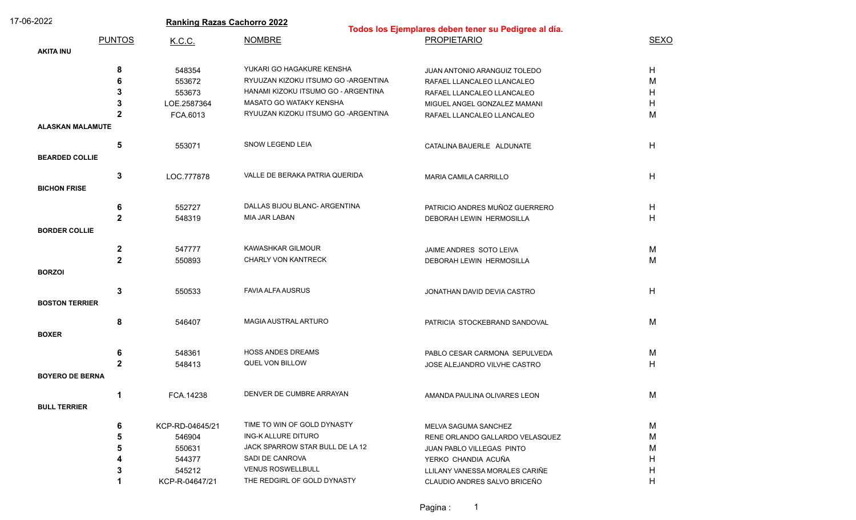| 17-06-2022              |               | <b>Ranking Razas Cachorro 2022</b> |                                      |                                                                            |             |  |
|-------------------------|---------------|------------------------------------|--------------------------------------|----------------------------------------------------------------------------|-------------|--|
|                         | <b>PUNTOS</b> | K.C.C.                             | <b>NOMBRE</b>                        | Todos los Ejemplares deben tener su Pedigree al día.<br><b>PROPIETARIO</b> | <b>SEXO</b> |  |
| <b>AKITA INU</b>        |               |                                    |                                      |                                                                            |             |  |
|                         |               |                                    |                                      |                                                                            |             |  |
|                         | 8             | 548354                             | YUKARI GO HAGAKURE KENSHA            | JUAN ANTONIO ARANGUIZ TOLEDO                                               | H           |  |
|                         | 6             | 553672                             | RYUUZAN KIZOKU ITSUMO GO - ARGENTINA | RAFAEL LLANCALEO LLANCALEO                                                 | M           |  |
|                         |               | 553673                             | HANAMI KIZOKU ITSUMO GO - ARGENTINA  | RAFAEL LLANCALEO LLANCALEO                                                 | Н           |  |
|                         |               | LOE.2587364                        | MASATO GO WATAKY KENSHA              | MIGUEL ANGEL GONZALEZ MAMANI                                               | н           |  |
|                         | 2             | FCA.6013                           | RYUUZAN KIZOKU ITSUMO GO - ARGENTINA | RAFAEL LLANCALEO LLANCALEO                                                 | М           |  |
| <b>ALASKAN MALAMUTE</b> |               |                                    |                                      |                                                                            |             |  |
|                         | 5             | 553071                             | SNOW LEGEND LEIA                     | CATALINA BAUERLE ALDUNATE                                                  | H           |  |
| <b>BEARDED COLLIE</b>   |               |                                    |                                      |                                                                            |             |  |
|                         |               |                                    |                                      |                                                                            |             |  |
|                         | 3             | LOC.777878                         | VALLE DE BERAKA PATRIA QUERIDA       | <b>MARIA CAMILA CARRILLO</b>                                               | H           |  |
| <b>BICHON FRISE</b>     |               |                                    |                                      |                                                                            |             |  |
|                         | 6             | 552727                             | DALLAS BIJOU BLANC- ARGENTINA        | PATRICIO ANDRES MUÑOZ GUERRERO                                             | H           |  |
|                         | $\mathbf{2}$  | 548319                             | <b>MIA JAR LABAN</b>                 | DEBORAH LEWIN HERMOSILLA                                                   | H           |  |
| <b>BORDER COLLIE</b>    |               |                                    |                                      |                                                                            |             |  |
|                         |               |                                    |                                      |                                                                            |             |  |
|                         | $\mathbf{2}$  | 547777                             | KAWASHKAR GILMOUR                    | JAIME ANDRES SOTO LEIVA                                                    | М           |  |
|                         | $\mathbf{2}$  | 550893                             | <b>CHARLY VON KANTRECK</b>           | DEBORAH LEWIN HERMOSILLA                                                   | M           |  |
| <b>BORZOI</b>           |               |                                    |                                      |                                                                            |             |  |
|                         |               |                                    |                                      |                                                                            |             |  |
|                         | 3             | 550533                             | <b>FAVIA ALFA AUSRUS</b>             | JONATHAN DAVID DEVIA CASTRO                                                | H           |  |
| <b>BOSTON TERRIER</b>   |               |                                    |                                      |                                                                            |             |  |
|                         | 8             | 546407                             | MAGIA AUSTRAL ARTURO                 | PATRICIA STOCKEBRAND SANDOVAL                                              | M           |  |
| <b>BOXER</b>            |               |                                    |                                      |                                                                            |             |  |
|                         |               |                                    |                                      |                                                                            |             |  |
|                         | 6             | 548361                             | <b>HOSS ANDES DREAMS</b>             | PABLO CESAR CARMONA SEPULVEDA                                              | M           |  |
|                         | $\mathbf{2}$  | 548413                             | QUEL VON BILLOW                      | JOSE ALEJANDRO VILVHE CASTRO                                               | H           |  |
| <b>BOYERO DE BERNA</b>  |               |                                    |                                      |                                                                            |             |  |
|                         |               | FCA.14238                          | DENVER DE CUMBRE ARRAYAN             | AMANDA PAULINA OLIVARES LEON                                               | М           |  |
| <b>BULL TERRIER</b>     |               |                                    |                                      |                                                                            |             |  |
|                         |               |                                    |                                      |                                                                            |             |  |
|                         | 6             | KCP-RD-04645/21                    | TIME TO WIN OF GOLD DYNASTY          | MELVA SAGUMA SANCHEZ                                                       | M           |  |
|                         |               | 546904                             | ING-K ALLURE DITURO                  | RENE ORLANDO GALLARDO VELASQUEZ                                            | M           |  |
|                         |               | 550631                             | JACK SPARROW STAR BULL DE LA 12      | JUAN PABLO VILLEGAS PINTO                                                  | м           |  |
|                         |               | 544377                             | SADI DE CANROVA                      | YERKO CHANDIA ACUÑA                                                        | Ħ           |  |
|                         |               | 545212                             | <b>VENUS ROSWELLBULL</b>             | LLILANY VANESSA MORALES CARIÑE                                             | н           |  |
|                         |               | KCP-R-04647/21                     | THE REDGIRL OF GOLD DYNASTY          | CLAUDIO ANDRES SALVO BRICEÑO                                               | Н           |  |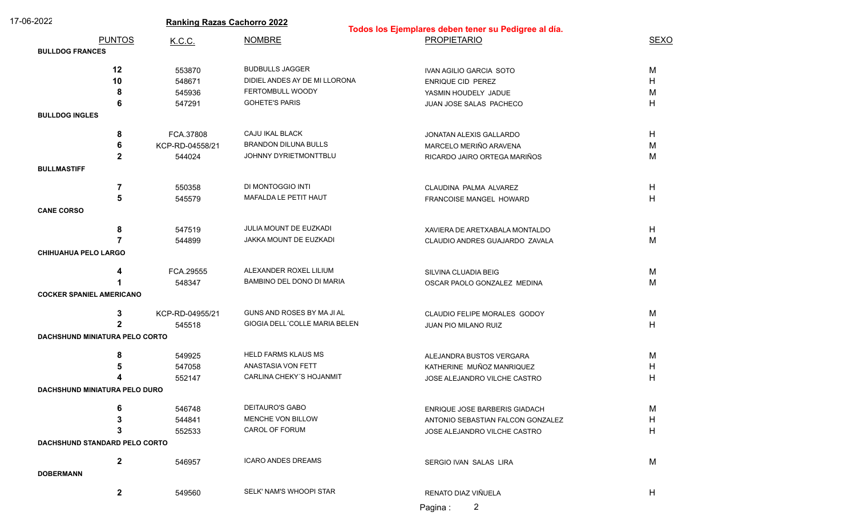| 17-06-2022                      |                                       | <b>Ranking Razas Cachorro 2022</b> |                               | Todos los Ejemplares deben tener su Pedigree al día. |             |  |
|---------------------------------|---------------------------------------|------------------------------------|-------------------------------|------------------------------------------------------|-------------|--|
|                                 | <b>PUNTOS</b>                         | K.C.C.                             | <b>NOMBRE</b>                 | <b>PROPIETARIO</b>                                   | <b>SEXO</b> |  |
| <b>BULLDOG FRANCES</b>          |                                       |                                    |                               |                                                      |             |  |
|                                 | 12                                    | 553870                             | <b>BUDBULLS JAGGER</b>        | IVAN AGILIO GARCIA SOTO                              | M           |  |
|                                 | 10                                    | 548671                             | DIDIEL ANDES AY DE MI LLORONA | ENRIQUE CID PEREZ                                    | H           |  |
|                                 | 8                                     | 545936                             | FERTOMBULL WOODY              | YASMIN HOUDELY JADUE                                 | M           |  |
|                                 | 6                                     | 547291                             | <b>GOHETE'S PARIS</b>         | JUAN JOSE SALAS PACHECO                              | H           |  |
| <b>BULLDOG INGLES</b>           |                                       |                                    |                               |                                                      |             |  |
|                                 | 8                                     | FCA.37808                          | CAJU IKAL BLACK               | JONATAN ALEXIS GALLARDO                              | H           |  |
|                                 | 6                                     | KCP-RD-04558/21                    | <b>BRANDON DILUNA BULLS</b>   | MARCELO MERIÑO ARAVENA                               | M           |  |
|                                 | $\mathbf{2}$                          | 544024                             | JOHNNY DYRIETMONTTBLU         | RICARDO JAIRO ORTEGA MARIÑOS                         | M           |  |
| <b>BULLMASTIFF</b>              |                                       |                                    |                               |                                                      |             |  |
|                                 |                                       |                                    |                               |                                                      |             |  |
|                                 | 7                                     | 550358                             | DI MONTOGGIO INTI             | CLAUDINA PALMA ALVAREZ                               | H           |  |
|                                 | 5                                     | 545579                             | MAFALDA LE PETIT HAUT         | FRANCOISE MANGEL HOWARD                              | H           |  |
| <b>CANE CORSO</b>               |                                       |                                    |                               |                                                      |             |  |
|                                 | 8                                     | 547519                             | JULIA MOUNT DE EUZKADI        | XAVIERA DE ARETXABALA MONTALDO                       | H           |  |
|                                 | 7                                     | 544899                             | JAKKA MOUNT DE EUZKADI        | CLAUDIO ANDRES GUAJARDO ZAVALA                       | M           |  |
| <b>CHIHUAHUA PELO LARGO</b>     |                                       |                                    |                               |                                                      |             |  |
|                                 |                                       |                                    |                               |                                                      |             |  |
|                                 | 4                                     | FCA.29555                          | ALEXANDER ROXEL LILIUM        | SILVINA CLUADIA BEIG                                 | M           |  |
|                                 |                                       | 548347                             | BAMBINO DEL DONO DI MARIA     | OSCAR PAOLO GONZALEZ MEDINA                          | M           |  |
| <b>COCKER SPANIEL AMERICANO</b> |                                       |                                    |                               |                                                      |             |  |
|                                 | 3                                     | KCP-RD-04955/21                    | GUNS AND ROSES BY MA JI AL    | CLAUDIO FELIPE MORALES GODOY                         | M           |  |
|                                 | 2                                     | 545518                             | GIOGIA DELL'COLLE MARIA BELEN | JUAN PIO MILANO RUIZ                                 | H           |  |
|                                 | <b>DACHSHUND MINIATURA PELO CORTO</b> |                                    |                               |                                                      |             |  |
|                                 | 8                                     | 549925                             | <b>HELD FARMS KLAUS MS</b>    | ALEJANDRA BUSTOS VERGARA                             | M           |  |
|                                 |                                       | 547058                             | <b>ANASTASIA VON FETT</b>     | KATHERINE MUÑOZ MANRIQUEZ                            | H           |  |
|                                 |                                       | 552147                             | CARLINA CHEKY'S HOJANMIT      | JOSE ALEJANDRO VILCHE CASTRO                         | H           |  |
|                                 | DACHSHUND MINIATURA PELO DURO         |                                    |                               |                                                      |             |  |
|                                 | 6                                     | 546748                             | <b>DEITAURO'S GABO</b>        | ENRIQUE JOSE BARBERIS GIADACH                        | м           |  |
|                                 | 3                                     | 544841                             | MENCHE VON BILLOW             | ANTONIO SEBASTIAN FALCON GONZALEZ                    | H           |  |
|                                 | 3                                     | 552533                             | CAROL OF FORUM                | JOSE ALEJANDRO VILCHE CASTRO                         | H           |  |
|                                 | DACHSHUND STANDARD PELO CORTO         |                                    |                               |                                                      |             |  |
|                                 | $\mathbf{2}$                          | 546957                             | <b>ICARO ANDES DREAMS</b>     | SERGIO IVAN SALAS LIRA                               | M           |  |
| <b>DOBERMANN</b>                |                                       |                                    |                               |                                                      |             |  |
|                                 |                                       |                                    |                               |                                                      |             |  |
|                                 | $\mathbf{2}$                          | 549560                             | SELK' NAM'S WHOOPI STAR       | RENATO DIAZ VIÑUELA                                  | H           |  |
|                                 |                                       |                                    |                               |                                                      |             |  |

Pagina : 2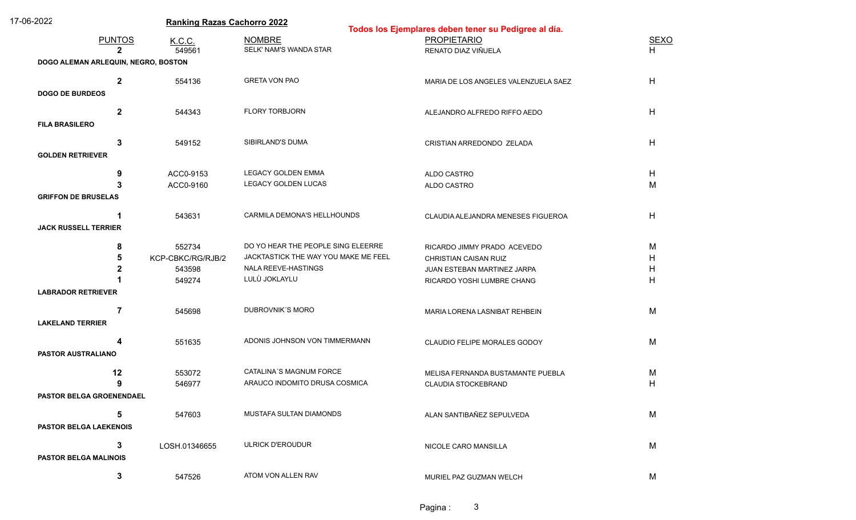| 17-06-2022                    |                                     | <b>Ranking Razas Cachorro 2022</b> |                                      | Todos los Ejemplares deben tener su Pedigree al día. |             |  |
|-------------------------------|-------------------------------------|------------------------------------|--------------------------------------|------------------------------------------------------|-------------|--|
|                               | <b>PUNTOS</b>                       |                                    | <b>NOMBRE</b>                        | <b>PROPIETARIO</b>                                   | <b>SEXO</b> |  |
|                               | $\mathbf{2}$                        | K.C.C.<br>549561                   | SELK' NAM'S WANDA STAR               | RENATO DIAZ VIÑUELA                                  | H.          |  |
|                               | DOGO ALEMAN ARLEQUIN, NEGRO, BOSTON |                                    |                                      |                                                      |             |  |
|                               |                                     |                                    |                                      |                                                      |             |  |
|                               | $\mathbf{2}$                        | 554136                             | <b>GRETA VON PAO</b>                 | MARIA DE LOS ANGELES VALENZUELA SAEZ                 | H           |  |
| <b>DOGO DE BURDEOS</b>        |                                     |                                    |                                      |                                                      |             |  |
|                               | $\mathbf{2}$                        | 544343                             | <b>FLORY TORBJORN</b>                | ALEJANDRO ALFREDO RIFFO AEDO                         | H           |  |
| <b>FILA BRASILERO</b>         |                                     |                                    |                                      |                                                      |             |  |
|                               |                                     |                                    | SIBIRLAND'S DUMA                     |                                                      |             |  |
| <b>GOLDEN RETRIEVER</b>       | 3                                   | 549152                             |                                      | CRISTIAN ARREDONDO ZELADA                            | H           |  |
|                               |                                     |                                    |                                      |                                                      |             |  |
|                               | 9                                   | ACC0-9153                          | <b>LEGACY GOLDEN EMMA</b>            | ALDO CASTRO                                          | H           |  |
|                               | 3                                   | ACC0-9160                          | LEGACY GOLDEN LUCAS                  | ALDO CASTRO                                          | M           |  |
| <b>GRIFFON DE BRUSELAS</b>    |                                     |                                    |                                      |                                                      |             |  |
|                               | 1                                   | 543631                             | CARMILA DEMONA'S HELLHOUNDS          | CLAUDIA ALEJANDRA MENESES FIGUEROA                   | H           |  |
| <b>JACK RUSSELL TERRIER</b>   |                                     |                                    |                                      |                                                      |             |  |
|                               | 8                                   | 552734                             | DO YO HEAR THE PEOPLE SING ELEERRE   | RICARDO JIMMY PRADO ACEVEDO                          | M           |  |
|                               | 5                                   | KCP-CBKC/RG/RJB/2                  | JACKTASTICK THE WAY YOU MAKE ME FEEL | <b>CHRISTIAN CAISAN RUIZ</b>                         | H           |  |
|                               |                                     | 543598                             | NALA REEVE-HASTINGS                  | JUAN ESTEBAN MARTINEZ JARPA                          | Η           |  |
|                               |                                     | 549274                             | LULÙ JOKLAYLU                        | RICARDO YOSHI LUMBRE CHANG                           | H           |  |
| <b>LABRADOR RETRIEVER</b>     |                                     |                                    |                                      |                                                      |             |  |
|                               | $\overline{7}$                      |                                    | DUBROVNIK'S MORO                     |                                                      |             |  |
| <b>LAKELAND TERRIER</b>       |                                     | 545698                             |                                      | MARIA LORENA LASNIBAT REHBEIN                        | M           |  |
|                               |                                     |                                    |                                      |                                                      |             |  |
|                               | 4                                   | 551635                             | ADONIS JOHNSON VON TIMMERMANN        | CLAUDIO FELIPE MORALES GODOY                         | M           |  |
| <b>PASTOR AUSTRALIANO</b>     |                                     |                                    |                                      |                                                      |             |  |
|                               | 12                                  | 553072                             | <b>CATALINA'S MAGNUM FORCE</b>       | MELISA FERNANDA BUSTAMANTE PUEBLA                    | M           |  |
|                               | 9                                   | 546977                             | ARAUCO INDOMITO DRUSA COSMICA        | <b>CLAUDIA STOCKEBRAND</b>                           | H           |  |
|                               | PASTOR BELGA GROENENDAEL            |                                    |                                      |                                                      |             |  |
|                               | 5                                   | 547603                             | MUSTAFA SULTAN DIAMONDS              | ALAN SANTIBAÑEZ SEPULVEDA                            | M           |  |
| <b>PASTOR BELGA LAEKENOIS</b> |                                     |                                    |                                      |                                                      |             |  |
|                               |                                     |                                    |                                      |                                                      |             |  |
|                               | 3                                   | LOSH.01346655                      | <b>ULRICK D'EROUDUR</b>              | NICOLE CARO MANSILLA                                 | M           |  |
| <b>PASTOR BELGA MALINOIS</b>  |                                     |                                    |                                      |                                                      |             |  |
|                               | 3                                   | 547526                             | ATOM VON ALLEN RAV                   | MURIEL PAZ GUZMAN WELCH                              | M           |  |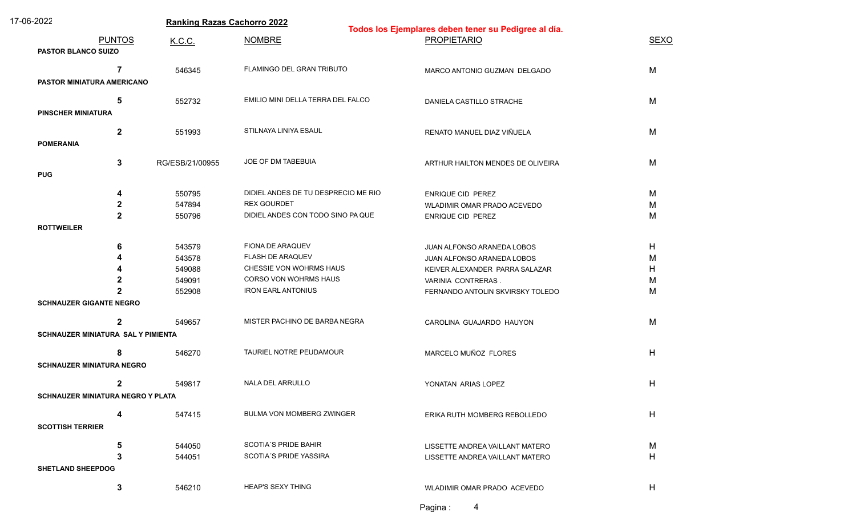| 17-06-2022                                  |                 | <b>Ranking Razas Cachorro 2022</b><br>Todos los Ejemplares deben tener su Pedigree al día. |                                   |             |  |
|---------------------------------------------|-----------------|--------------------------------------------------------------------------------------------|-----------------------------------|-------------|--|
| <b>PUNTOS</b><br><b>PASTOR BLANCO SUIZO</b> | K.C.C.          | <b>NOMBRE</b>                                                                              | <b>PROPIETARIO</b>                | <b>SEXO</b> |  |
| $\overline{7}$                              | 546345          | FLAMINGO DEL GRAN TRIBUTO                                                                  | MARCO ANTONIO GUZMAN DELGADO      | M           |  |
| PASTOR MINIATURA AMERICANO                  |                 |                                                                                            |                                   |             |  |
| 5                                           | 552732          | EMILIO MINI DELLA TERRA DEL FALCO                                                          | DANIELA CASTILLO STRACHE          | M           |  |
| <b>PINSCHER MINIATURA</b>                   |                 |                                                                                            |                                   |             |  |
| $\mathbf 2$                                 | 551993          | STILNAYA LINIYA ESAUL                                                                      | RENATO MANUEL DIAZ VIÑUELA        | M           |  |
| <b>POMERANIA</b>                            |                 |                                                                                            |                                   |             |  |
| 3                                           | RG/ESB/21/00955 | JOE OF DM TABEBUIA                                                                         | ARTHUR HAILTON MENDES DE OLIVEIRA | M           |  |
| <b>PUG</b>                                  |                 |                                                                                            |                                   |             |  |
| 4                                           | 550795          | DIDIEL ANDES DE TU DESPRECIO ME RIO                                                        | <b>ENRIQUE CID PEREZ</b>          | М           |  |
| $\mathbf 2$                                 | 547894          | <b>REX GOURDET</b>                                                                         | WLADIMIR OMAR PRADO ACEVEDO       | M           |  |
| $\mathbf{2}$                                | 550796          | DIDIEL ANDES CON TODO SINO PA QUE                                                          | ENRIQUE CID PEREZ                 | M           |  |
| <b>ROTTWEILER</b>                           |                 |                                                                                            |                                   |             |  |
| 6                                           | 543579          | FIONA DE ARAQUEV                                                                           | JUAN ALFONSO ARANEDA LOBOS        | H           |  |
|                                             | 543578          | FLASH DE ARAQUEV                                                                           | JUAN ALFONSO ARANEDA LOBOS        | M           |  |
|                                             | 549088          | CHESSIE VON WOHRMS HAUS                                                                    | KEIVER ALEXANDER PARRA SALAZAR    | H.          |  |
|                                             | 549091          | CORSO VON WOHRMS HAUS                                                                      | VARINIA CONTRERAS.                | м           |  |
|                                             | 552908          | <b>IRON EARL ANTONIUS</b>                                                                  | FERNANDO ANTOLIN SKVIRSKY TOLEDO  | M           |  |
| <b>SCHNAUZER GIGANTE NEGRO</b>              |                 |                                                                                            |                                   |             |  |
| $\mathbf{2}$                                | 549657          | MISTER PACHINO DE BARBA NEGRA                                                              | CAROLINA GUAJARDO HAUYON          | M           |  |
| SCHNAUZER MINIATURA SAL Y PIMIENTA          |                 |                                                                                            |                                   |             |  |
| 8                                           | 546270          | TAURIEL NOTRE PEUDAMOUR                                                                    | MARCELO MUÑOZ FLORES              | H           |  |
| <b>SCHNAUZER MINIATURA NEGRO</b>            |                 |                                                                                            |                                   |             |  |
| $\mathbf{2}$                                | 549817          | <b>NALA DEL ARRULLO</b>                                                                    | YONATAN ARIAS LOPEZ               | H           |  |
| SCHNAUZER MINIATURA NEGRO Y PLATA           |                 |                                                                                            |                                   |             |  |
| 4                                           | 547415          | BULMA VON MOMBERG ZWINGER                                                                  | ERIKA RUTH MOMBERG REBOLLEDO      | H           |  |
| <b>SCOTTISH TERRIER</b>                     |                 |                                                                                            |                                   |             |  |
| 5                                           | 544050          | <b>SCOTIA'S PRIDE BAHIR</b>                                                                | LISSETTE ANDREA VAILLANT MATERO   | M           |  |
| 3                                           | 544051          | <b>SCOTIA'S PRIDE YASSIRA</b>                                                              | LISSETTE ANDREA VAILLANT MATERO   | H           |  |
| <b>SHETLAND SHEEPDOG</b>                    |                 |                                                                                            |                                   |             |  |
|                                             |                 |                                                                                            |                                   |             |  |
| 3                                           | 546210          | <b>HEAP'S SEXY THING</b>                                                                   | WLADIMIR OMAR PRADO ACEVEDO       | H           |  |

Pagina : 4